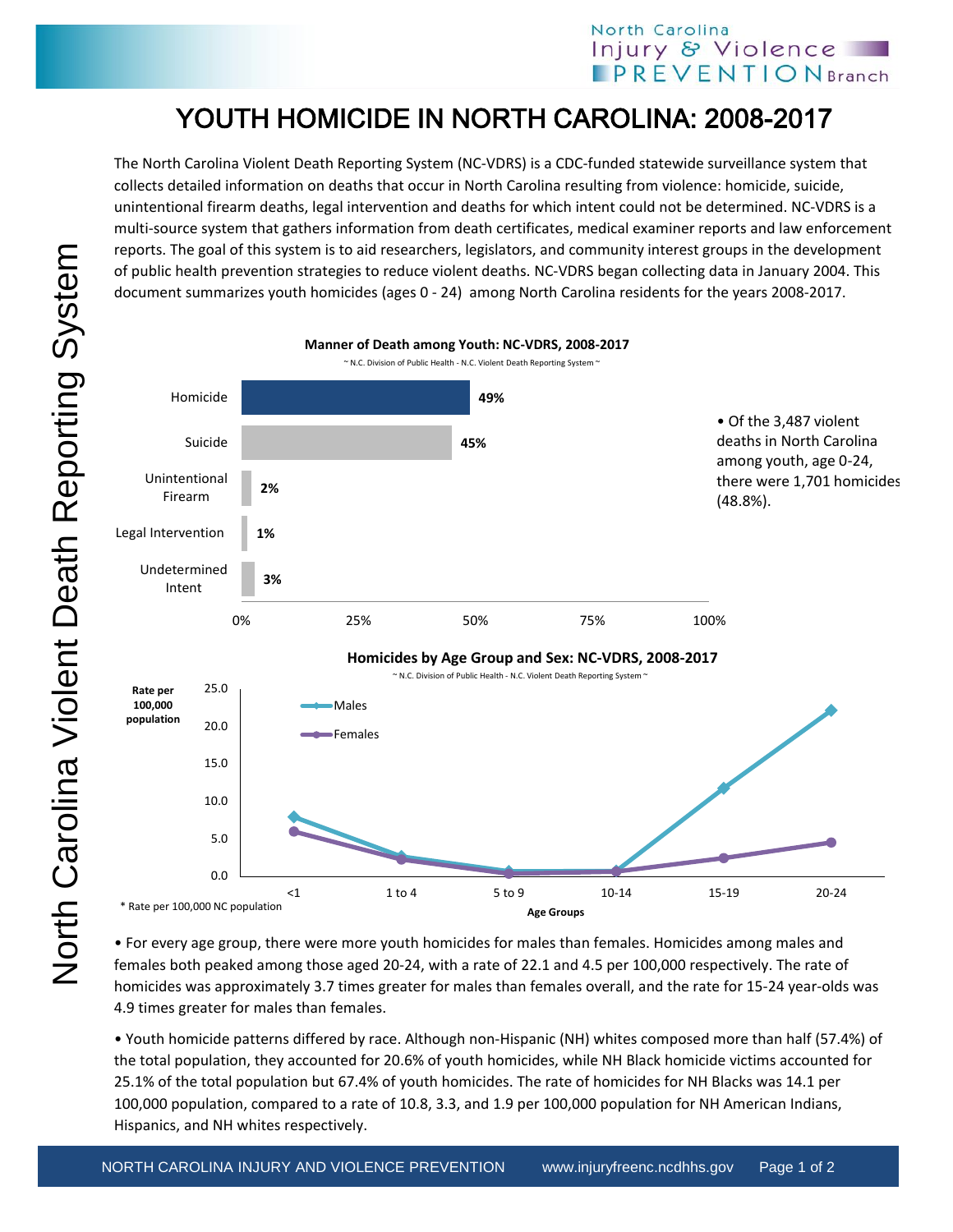## North Carolina Injury & Violence **PREVENTIONBranch**

## YOUTH HOMICIDE IN NORTH CAROLINA: 2008-2017

The North Carolina Violent Death Reporting System (NC-VDRS) is a CDC-funded statewide surveillance system that collects detailed information on deaths that occur in North Carolina resulting from violence: homicide, suicide, unintentional firearm deaths, legal intervention and deaths for which intent could not be determined. NC-VDRS is a multi-source system that gathers information from death certificates, medical examiner reports and law enforcement reports. The goal of this system is to aid researchers, legislators, and community interest groups in the development of public health prevention strategies to reduce violent deaths. NC-VDRS began collecting data in January 2004. This document summarizes youth homicides (ages 0 - 24) among North Carolina residents for the years 2008-2017.



• For every age group, there were more youth homicides for males than females. Homicides among males and females both peaked among those aged 20-24, with a rate of 22.1 and 4.5 per 100,000 respectively. The rate of homicides was approximately 3.7 times greater for males than females overall, and the rate for 15-24 year-olds was 4.9 times greater for males than females.

• Youth homicide patterns differed by race. Although non-Hispanic (NH) whites composed more than half (57.4%) of the total population, they accounted for 20.6% of youth homicides, while NH Black homicide victims accounted for 25.1% of the total population but 67.4% of youth homicides. The rate of homicides for NH Blacks was 14.1 per 100,000 population, compared to a rate of 10.8, 3.3, and 1.9 per 100,000 population for NH American Indians, Hispanics, and NH whites respectively.